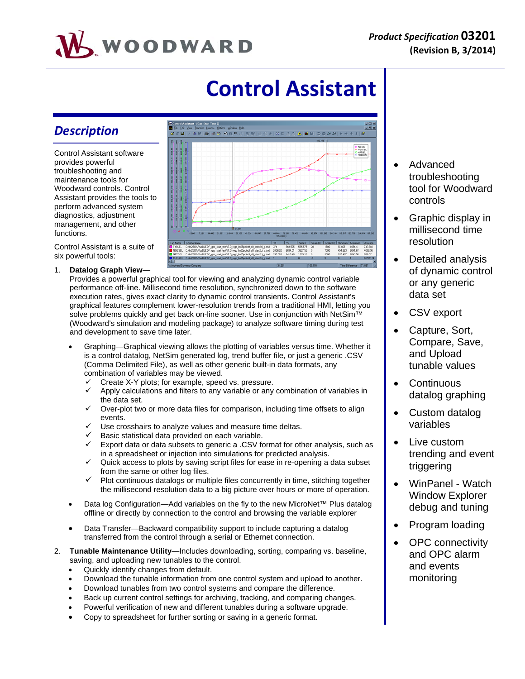

# **Control Assistant**

# *Description*

Control Assistant software provides powerful troubleshooting and maintenance tools for Woodward controls. Control Assistant provides the tools to perform advanced system diagnostics, adjustment management, and other functions.

Control Assistant is a suite of six powerful tools:

1. **Datalog Graph View**—

Provides a powerful graphical tool for viewing and analyzing dynamic control variable performance off-line. Millisecond time resolution, synchronized down to the software execution rates, gives exact clarity to dynamic control transients. Control Assistant's graphical features complement lower-resolution trends from a traditional HMI, letting you solve problems quickly and get back on-line sooner. Use in conjunction with NetSim™ (Woodward's simulation and modeling package) to analyze software timing during test and development to save time later.

- Graphing—Graphical viewing allows the plotting of variables versus time. Whether it is a control datalog, NetSim generated log, trend buffer file, or just a generic .CSV (Comma Delimited File), as well as other generic built-in data formats, any combination of variables may be viewed.
	- $\checkmark$  Create X-Y plots; for example, speed vs. pressure.<br> $\checkmark$  Apply calculations and filters to any variable or any
	- Apply calculations and filters to any variable or any combination of variables in the data set.
	- Over-plot two or more data files for comparison, including time offsets to align events.
	- Use crosshairs to analyze values and measure time deltas.
	- Basic statistical data provided on each variable.
	- Export data or data subsets to generic a .CSV format for other analysis, such as in a spreadsheet or injection into simulations for predicted analysis.
	- $\checkmark$  Quick access to plots by saving script files for ease in re-opening a data subset from the same or other log files.
	- $\checkmark$  Plot continuous datalogs or multiple files concurrently in time, stitching together the millisecond resolution data to a big picture over hours or more of operation.
- Data log Configuration—Add variables on the fly to the new MicroNet™ Plus datalog offline or directly by connection to the control and browsing the variable explorer
- Data Transfer—Backward compatibility support to include capturing a datalog transferred from the control through a serial or Ethernet connection.
- 2. **Tunable Maintenance Utility**—Includes downloading, sorting, comparing vs. baseline, saving, and uploading new tunables to the control.
	- Quickly identify changes from default.
	- Download the tunable information from one control system and upload to another.
	- Download tunables from two control systems and compare the difference.
	- Back up current control settings for archiving, tracking, and comparing changes.
	- Powerful verification of new and different tunables during a software upgrade.
	- Copy to spreadsheet for further sorting or saving in a generic format.



- Advanced troubleshooting tool for Woodward controls
- Graphic display in millisecond time resolution
- Detailed analysis of dynamic control or any generic data set
- CSV export
- Capture, Sort, Compare, Save, and Upload tunable values
- Continuous datalog graphing
- Custom datalog variables
- Live custom trending and event triggering
- WinPanel Watch Window Explorer debug and tuning
- Program loading
- OPC connectivity and OPC alarm and events monitoring